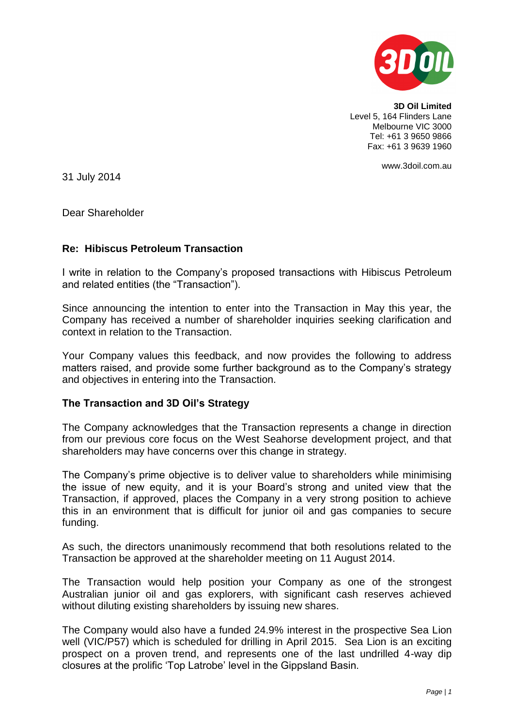

**3D Oil Limited** Level 5, 164 Flinders Lane Melbourne VIC 3000 Tel: +61 3 9650 9866 Fax: +61 3 9639 1960

www.3doil.com.au

31 July 2014

Dear Shareholder

# **Re: Hibiscus Petroleum Transaction**

I write in relation to the Company's proposed transactions with Hibiscus Petroleum and related entities (the "Transaction").

Since announcing the intention to enter into the Transaction in May this year, the Company has received a number of shareholder inquiries seeking clarification and context in relation to the Transaction.

Your Company values this feedback, and now provides the following to address matters raised, and provide some further background as to the Company's strategy and objectives in entering into the Transaction.

# **The Transaction and 3D Oil's Strategy**

The Company acknowledges that the Transaction represents a change in direction from our previous core focus on the West Seahorse development project, and that shareholders may have concerns over this change in strategy.

The Company's prime objective is to deliver value to shareholders while minimising the issue of new equity, and it is your Board's strong and united view that the Transaction, if approved, places the Company in a very strong position to achieve this in an environment that is difficult for junior oil and gas companies to secure funding.

As such, the directors unanimously recommend that both resolutions related to the Transaction be approved at the shareholder meeting on 11 August 2014.

The Transaction would help position your Company as one of the strongest Australian junior oil and gas explorers, with significant cash reserves achieved without diluting existing shareholders by issuing new shares.

The Company would also have a funded 24.9% interest in the prospective Sea Lion well (VIC/P57) which is scheduled for drilling in April 2015. Sea Lion is an exciting prospect on a proven trend, and represents one of the last undrilled 4-way dip closures at the prolific 'Top Latrobe' level in the Gippsland Basin.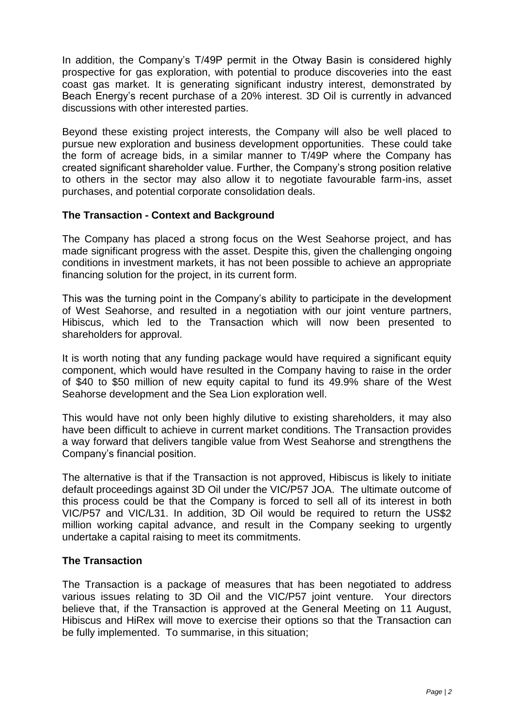In addition, the Company's T/49P permit in the Otway Basin is considered highly prospective for gas exploration, with potential to produce discoveries into the east coast gas market. It is generating significant industry interest, demonstrated by Beach Energy's recent purchase of a 20% interest. 3D Oil is currently in advanced discussions with other interested parties.

Beyond these existing project interests, the Company will also be well placed to pursue new exploration and business development opportunities. These could take the form of acreage bids, in a similar manner to T/49P where the Company has created significant shareholder value. Further, the Company's strong position relative to others in the sector may also allow it to negotiate favourable farm-ins, asset purchases, and potential corporate consolidation deals.

# **The Transaction - Context and Background**

The Company has placed a strong focus on the West Seahorse project, and has made significant progress with the asset. Despite this, given the challenging ongoing conditions in investment markets, it has not been possible to achieve an appropriate financing solution for the project, in its current form.

This was the turning point in the Company's ability to participate in the development of West Seahorse, and resulted in a negotiation with our joint venture partners, Hibiscus, which led to the Transaction which will now been presented to shareholders for approval.

It is worth noting that any funding package would have required a significant equity component, which would have resulted in the Company having to raise in the order of \$40 to \$50 million of new equity capital to fund its 49.9% share of the West Seahorse development and the Sea Lion exploration well.

This would have not only been highly dilutive to existing shareholders, it may also have been difficult to achieve in current market conditions. The Transaction provides a way forward that delivers tangible value from West Seahorse and strengthens the Company's financial position.

The alternative is that if the Transaction is not approved, Hibiscus is likely to initiate default proceedings against 3D Oil under the VIC/P57 JOA. The ultimate outcome of this process could be that the Company is forced to sell all of its interest in both VIC/P57 and VIC/L31. In addition, 3D Oil would be required to return the US\$2 million working capital advance, and result in the Company seeking to urgently undertake a capital raising to meet its commitments.

## **The Transaction**

The Transaction is a package of measures that has been negotiated to address various issues relating to 3D Oil and the VIC/P57 joint venture. Your directors believe that, if the Transaction is approved at the General Meeting on 11 August, Hibiscus and HiRex will move to exercise their options so that the Transaction can be fully implemented. To summarise, in this situation;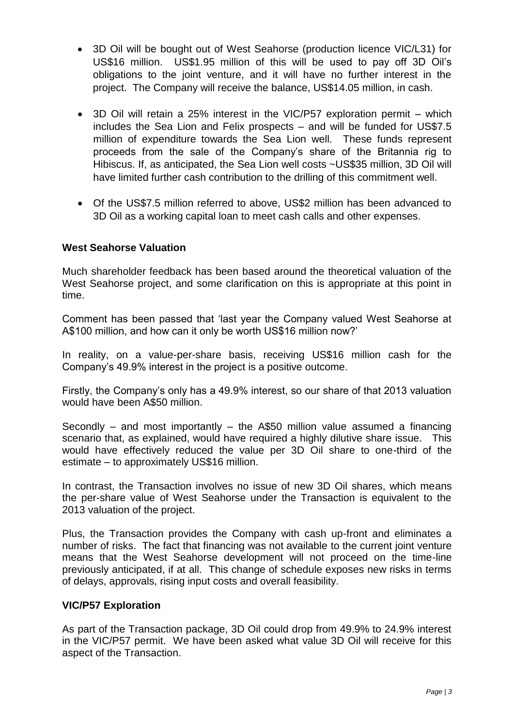- 3D Oil will be bought out of West Seahorse (production licence VIC/L31) for US\$16 million. US\$1.95 million of this will be used to pay off 3D Oil's obligations to the joint venture, and it will have no further interest in the project. The Company will receive the balance, US\$14.05 million, in cash.
- 3D Oil will retain a 25% interest in the VIC/P57 exploration permit which includes the Sea Lion and Felix prospects – and will be funded for US\$7.5 million of expenditure towards the Sea Lion well. These funds represent proceeds from the sale of the Company's share of the Britannia rig to Hibiscus. If, as anticipated, the Sea Lion well costs ~US\$35 million, 3D Oil will have limited further cash contribution to the drilling of this commitment well.
- Of the US\$7.5 million referred to above, US\$2 million has been advanced to 3D Oil as a working capital loan to meet cash calls and other expenses.

# **West Seahorse Valuation**

Much shareholder feedback has been based around the theoretical valuation of the West Seahorse project, and some clarification on this is appropriate at this point in time.

Comment has been passed that 'last year the Company valued West Seahorse at A\$100 million, and how can it only be worth US\$16 million now?'

In reality, on a value-per-share basis, receiving US\$16 million cash for the Company's 49.9% interest in the project is a positive outcome.

Firstly, the Company's only has a 49.9% interest, so our share of that 2013 valuation would have been A\$50 million.

Secondly – and most importantly – the A\$50 million value assumed a financing scenario that, as explained, would have required a highly dilutive share issue. This would have effectively reduced the value per 3D Oil share to one-third of the estimate – to approximately US\$16 million.

In contrast, the Transaction involves no issue of new 3D Oil shares, which means the per-share value of West Seahorse under the Transaction is equivalent to the 2013 valuation of the project.

Plus, the Transaction provides the Company with cash up-front and eliminates a number of risks. The fact that financing was not available to the current joint venture means that the West Seahorse development will not proceed on the time-line previously anticipated, if at all. This change of schedule exposes new risks in terms of delays, approvals, rising input costs and overall feasibility.

# **VIC/P57 Exploration**

As part of the Transaction package, 3D Oil could drop from 49.9% to 24.9% interest in the VIC/P57 permit. We have been asked what value 3D Oil will receive for this aspect of the Transaction.